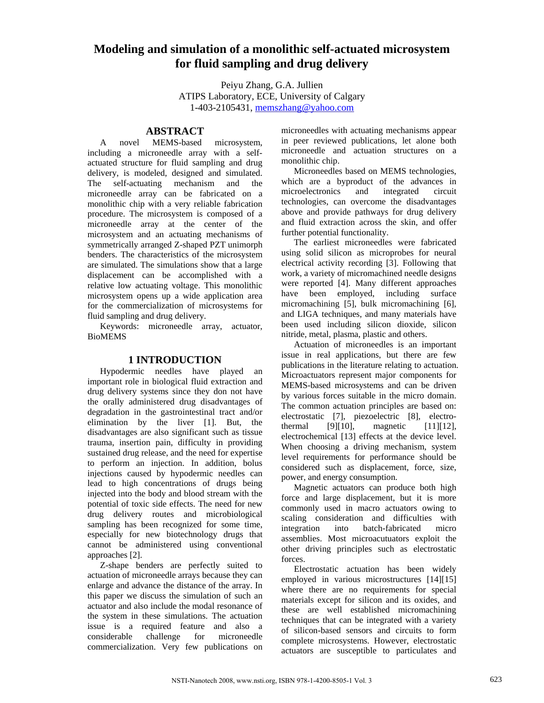# **Modeling and simulation of a monolithic self-actuated microsystem for fluid sampling and drug delivery**

Peiyu Zhang, G.A. Jullien ATIPS Laboratory, ECE, University of Calgary 1-403-2105431, [memszhang@yahoo.com](mailto:memszhang@yahoo.com)

## **ABSTRACT**

A novel MEMS-based microsystem, including a microneedle array with a selfactuated structure for fluid sampling and drug delivery, is modeled, designed and simulated. The self-actuating mechanism and the microneedle array can be fabricated on a monolithic chip with a very reliable fabrication procedure. The microsystem is composed of a microneedle array at the center of the microsystem and an actuating mechanisms of symmetrically arranged Z-shaped PZT unimorph benders. The characteristics of the microsystem are simulated. The simulations show that a large displacement can be accomplished with a relative low actuating voltage. This monolithic microsystem opens up a wide application area for the commercialization of microsystems for fluid sampling and drug delivery.

Keywords: microneedle array, actuator, BioMEMS

#### **1 INTRODUCTION**

Hypodermic needles have played an important role in biological fluid extraction and drug delivery systems since they don not have the orally administered drug disadvantages of degradation in the gastrointestinal tract and/or elimination by the liver [1]. But, the disadvantages are also significant such as tissue trauma, insertion pain, difficulty in providing sustained drug release, and the need for expertise to perform an injection. In addition, bolus injections caused by hypodermic needles can lead to high concentrations of drugs being injected into the body and blood stream with the potential of toxic side effects. The need for new drug delivery routes and microbiological sampling has been recognized for some time, especially for new biotechnology drugs that cannot be administered using conventional approaches [2].

Z-shape benders are perfectly suited to actuation of microneedle arrays because they can enlarge and advance the distance of the array. In this paper we discuss the simulation of such an actuator and also include the modal resonance of the system in these simulations. The actuation issue is a required feature and also a considerable challenge for microneedle commercialization. Very few publications on microneedles with actuating mechanisms appear in peer reviewed publications, let alone both microneedle and actuation structures on a monolithic chip.

Microneedles based on MEMS technologies, which are a byproduct of the advances in microelectronics and integrated circuit technologies, can overcome the disadvantages above and provide pathways for drug delivery and fluid extraction across the skin, and offer further potential functionality.

The earliest microneedles were fabricated using solid silicon as microprobes for neural electrical activity recording [3]. Following that work, a variety of micromachined needle designs were reported [4]. Many different approaches have been employed, including surface micromachining [5], bulk micromachining [6], and LIGA techniques, and many materials have been used including silicon dioxide, silicon nitride, metal, plasma, plastic and others.

Actuation of microneedles is an important issue in real applications, but there are few publications in the literature relating to actuation. Microactuators represent major components for MEMS-based microsystems and can be driven by various forces suitable in the micro domain. The common actuation principles are based on: electrostatic [7], piezoelectric [8], electrothermal [9][10], magnetic [11][12], electrochemical [13] effects at the device level. When choosing a driving mechanism, system level requirements for performance should be considered such as displacement, force, size, power, and energy consumption.

Magnetic actuators can produce both high force and large displacement, but it is more commonly used in macro actuators owing to scaling consideration and difficulties with integration into batch-fabricated micro assemblies. Most microacutuators exploit the other driving principles such as electrostatic forces.

Electrostatic actuation has been widely employed in various microstructures [14][15] where there are no requirements for special materials except for silicon and its oxides, and these are well established micromachining techniques that can be integrated with a variety of silicon-based sensors and circuits to form complete microsystems. However, electrostatic actuators are susceptible to particulates and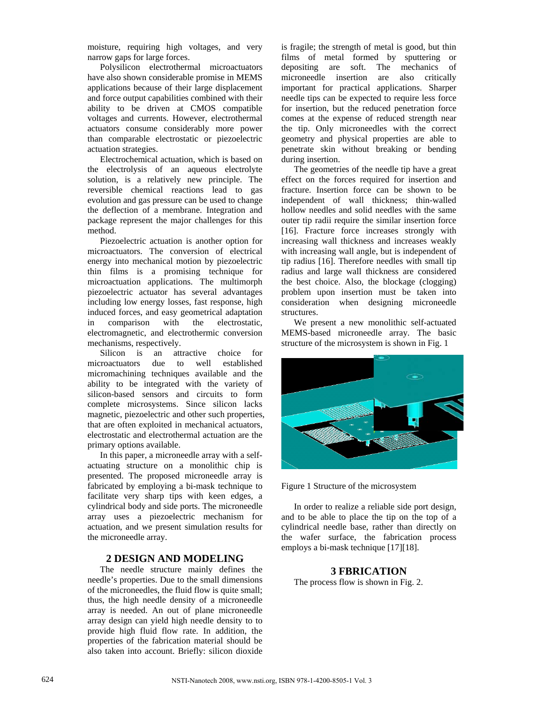moisture, requiring high voltages, and very narrow gaps for large forces.

Polysilicon electrothermal microactuators have also shown considerable promise in MEMS applications because of their large displacement and force output capabilities combined with their ability to be driven at CMOS compatible voltages and currents. However, electrothermal actuators consume considerably more power than comparable electrostatic or piezoelectric actuation strategies.

Electrochemical actuation, which is based on the electrolysis of an aqueous electrolyte solution, is a relatively new principle. The reversible chemical reactions lead to gas evolution and gas pressure can be used to change the deflection of a membrane. Integration and package represent the major challenges for this method.

Piezoelectric actuation is another option for microactuators. The conversion of electrical energy into mechanical motion by piezoelectric thin films is a promising technique for microactuation applications. The multimorph piezoelectric actuator has several advantages including low energy losses, fast response, high induced forces, and easy geometrical adaptation in comparison with the electrostatic, electromagnetic, and electrothermic conversion mechanisms, respectively.

Silicon is an attractive choice for microactuators due to well established micromachining techniques available and the ability to be integrated with the variety of silicon-based sensors and circuits to form complete microsystems. Since silicon lacks magnetic, piezoelectric and other such properties, that are often exploited in mechanical actuators, electrostatic and electrothermal actuation are the primary options available.

In this paper, a microneedle array with a selfactuating structure on a monolithic chip is presented. The proposed microneedle array is fabricated by employing a bi-mask technique to facilitate very sharp tips with keen edges, a cylindrical body and side ports. The microneedle array uses a piezoelectric mechanism for actuation, and we present simulation results for the microneedle array.

### **2 DESIGN AND MODELING**

The needle structure mainly defines the needle's properties. Due to the small dimensions of the microneedles, the fluid flow is quite small; thus, the high needle density of a microneedle array is needed. An out of plane microneedle array design can yield high needle density to to provide high fluid flow rate. In addition, the properties of the fabrication material should be also taken into account. Briefly: silicon dioxide is fragile; the strength of metal is good, but thin films of metal formed by sputtering or depositing are soft. The mechanics of microneedle insertion are also critically important for practical applications. Sharper needle tips can be expected to require less force for insertion, but the reduced penetration force comes at the expense of reduced strength near the tip. Only microneedles with the correct geometry and physical properties are able to penetrate skin without breaking or bending during insertion.

The geometries of the needle tip have a great effect on the forces required for insertion and fracture. Insertion force can be shown to be independent of wall thickness; thin-walled hollow needles and solid needles with the same outer tip radii require the similar insertion force [16]. Fracture force increases strongly with increasing wall thickness and increases weakly with increasing wall angle, but is independent of tip radius [16]. Therefore needles with small tip radius and large wall thickness are considered the best choice. Also, the blockage (clogging) problem upon insertion must be taken into consideration when designing microneedle structures.

We present a new monolithic self-actuated MEMS-based microneedle array. The basic structure of the microsystem is shown in Fig. 1



Figure 1 Structure of the microsystem

In order to realize a reliable side port design, and to be able to place the tip on the top of a cylindrical needle base, rather than directly on the wafer surface, the fabrication process employs a bi-mask technique [17][18].

#### **3 FBRICATION**

The process flow is shown in Fig. 2.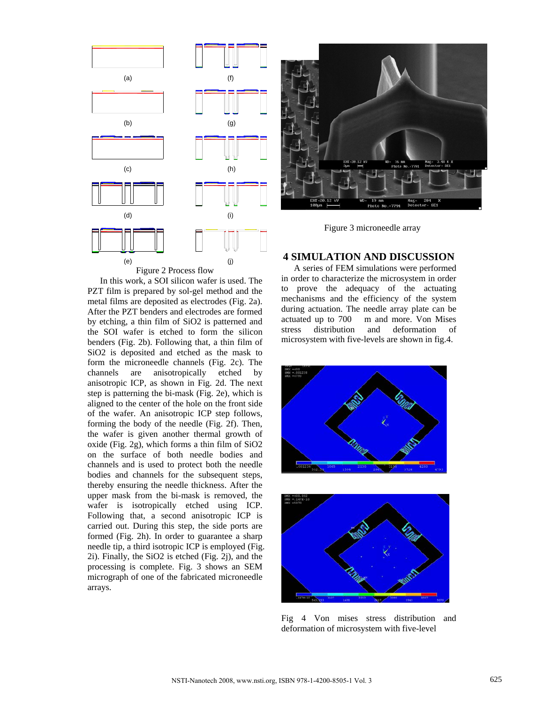

In this work, a SOI silicon wafer is used. The PZT film is prepared by sol-gel method and the metal films are deposited as electrodes (Fig. 2a). After the PZT benders and electrodes are formed by etching, a thin film of SiO2 is patterned and the SOI wafer is etched to form the silicon benders (Fig. 2b). Following that, a thin film of SiO2 is deposited and etched as the mask to form the microneedle channels (Fig. 2c). The channels are anisotropically etched by anisotropic ICP, as shown in Fig. 2d. The next step is patterning the bi-mask (Fig. 2e), which is aligned to the center of the hole on the front side of the wafer. An anisotropic ICP step follows, forming the body of the needle (Fig. 2f). Then, the wafer is given another thermal growth of oxide (Fig. 2g), which forms a thin film of SiO2 on the surface of both needle bodies and channels and is used to protect both the needle bodies and channels for the subsequent steps, thereby ensuring the needle thickness. After the upper mask from the bi-mask is removed, the wafer is isotropically etched using ICP. Following that, a second anisotropic ICP is carried out. During this step, the side ports are formed (Fig. 2h). In order to guarantee a sharp needle tip, a third isotropic ICP is employed (Fig. 2i). Finally, the SiO2 is etched (Fig. 2j), and the processing is complete. Fig. 3 shows an SEM micrograph of one of the fabricated microneedle arrays.



Figure 3 microneedle array

#### **4 SIMULATION AND DISCUSSION**

A series of FEM simulations were performed in order to characterize the microsystem in order to prove the adequacy of the actuating mechanisms and the efficiency of the system during actuation. The needle array plate can be actuated up to 700 m and more. Von Mises stress distribution and deformation of microsystem with five-levels are shown in fig.4.





Fig 4 Von mises stress distribution and deformation of microsystem with five-level